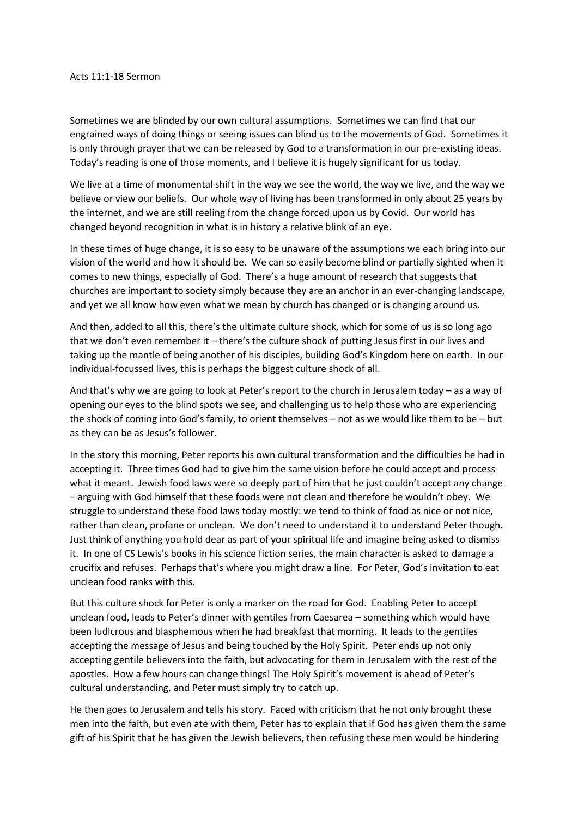## Acts 11:1-18 Sermon

Sometimes we are blinded by our own cultural assumptions. Sometimes we can find that our engrained ways of doing things or seeing issues can blind us to the movements of God. Sometimes it is only through prayer that we can be released by God to a transformation in our pre-existing ideas. Today's reading is one of those moments, and I believe it is hugely significant for us today.

We live at a time of monumental shift in the way we see the world, the way we live, and the way we believe or view our beliefs. Our whole way of living has been transformed in only about 25 years by the internet, and we are still reeling from the change forced upon us by Covid. Our world has changed beyond recognition in what is in history a relative blink of an eye.

In these times of huge change, it is so easy to be unaware of the assumptions we each bring into our vision of the world and how it should be. We can so easily become blind or partially sighted when it comes to new things, especially of God. There's a huge amount of research that suggests that churches are important to society simply because they are an anchor in an ever-changing landscape, and yet we all know how even what we mean by church has changed or is changing around us.

And then, added to all this, there's the ultimate culture shock, which for some of us is so long ago that we don't even remember it – there's the culture shock of putting Jesus first in our lives and taking up the mantle of being another of his disciples, building God's Kingdom here on earth. In our individual-focussed lives, this is perhaps the biggest culture shock of all.

And that's why we are going to look at Peter's report to the church in Jerusalem today – as a way of opening our eyes to the blind spots we see, and challenging us to help those who are experiencing the shock of coming into God's family, to orient themselves – not as we would like them to be – but as they can be as Jesus's follower.

In the story this morning, Peter reports his own cultural transformation and the difficulties he had in accepting it. Three times God had to give him the same vision before he could accept and process what it meant. Jewish food laws were so deeply part of him that he just couldn't accept any change – arguing with God himself that these foods were not clean and therefore he wouldn't obey. We struggle to understand these food laws today mostly: we tend to think of food as nice or not nice, rather than clean, profane or unclean. We don't need to understand it to understand Peter though. Just think of anything you hold dear as part of your spiritual life and imagine being asked to dismiss it. In one of CS Lewis's books in his science fiction series, the main character is asked to damage a crucifix and refuses. Perhaps that's where you might draw a line. For Peter, God's invitation to eat unclean food ranks with this.

But this culture shock for Peter is only a marker on the road for God. Enabling Peter to accept unclean food, leads to Peter's dinner with gentiles from Caesarea – something which would have been ludicrous and blasphemous when he had breakfast that morning. It leads to the gentiles accepting the message of Jesus and being touched by the Holy Spirit. Peter ends up not only accepting gentile believers into the faith, but advocating for them in Jerusalem with the rest of the apostles. How a few hours can change things! The Holy Spirit's movement is ahead of Peter's cultural understanding, and Peter must simply try to catch up.

He then goes to Jerusalem and tells his story. Faced with criticism that he not only brought these men into the faith, but even ate with them, Peter has to explain that if God has given them the same gift of his Spirit that he has given the Jewish believers, then refusing these men would be hindering